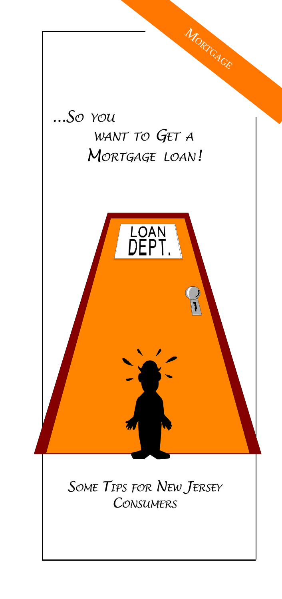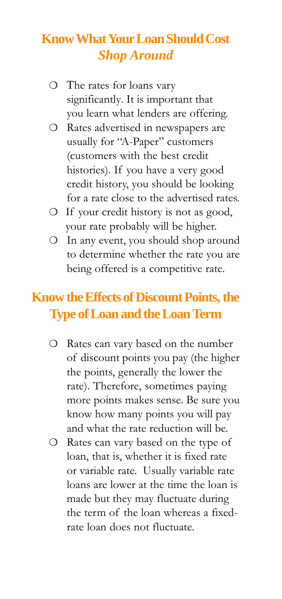# **Know What Your Loan Should Cost Shop Around**

- O The rates for loans vary significantly. It is important that you learn what lenders are offering.
- O Rates advertised in newspapers are usually for "A-Paper" customers (customers with the best credit histories). If you have a very good credit history, you should be looking for a rate close to the advertised rates.
- O If your credit history is not as good, your rate probably will be higher.
- O In any event, you should shop around to determine whether the rate you are being offered is a competitive rate.

### **Know the Effects of Discount Points, the Type of Loan and the Loan Term**

- O Rates can vary based on the number of discount points you pay (the higher the points, generally the lower the rate). Therefore, sometimes paying more points makes sense. Be sure you know how many points you will pay and what the rate reduction will be.
- O Rates can vary based on the type of loan, that is, whether it is fixed rate or variable rate. Usually variable rate loans are lower at the time the loan is made but they may fluctuate during the term of the loan whereas a fixedrate loan does not fluctuate.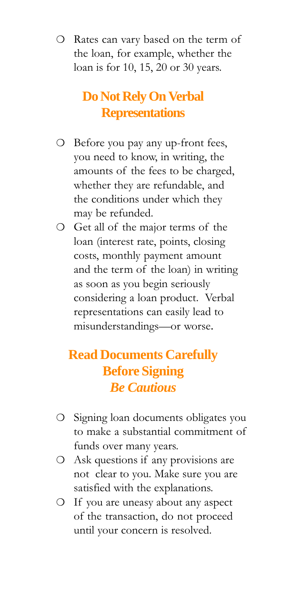O Rates can vary based on the term of the loan, for example, whether the loan is for 10, 15, 20 or 30 years.

## Do Not Rely On Verbal **Representations**

- O Before you pay any up-front fees, you need to know, in writing, the amounts of the fees to be charged, whether they are refundable, and the conditions under which they may be refunded.
- O Get all of the major terms of the loan (interest rate, points, closing costs, monthly payment amount and the term of the loan) in writing as soon as you begin seriously considering a loan product. Verbal representations can easily lead to misunderstandings-or worse.

## **Read Documents Carefully Before Signing Be Cautious**

- O Signing loan documents obligates you to make a substantial commitment of funds over many years.
- O Ask questions if any provisions are not clear to you. Make sure you are satisfied with the explanations.
- O If you are uneasy about any aspect of the transaction, do not proceed until your concern is resolved.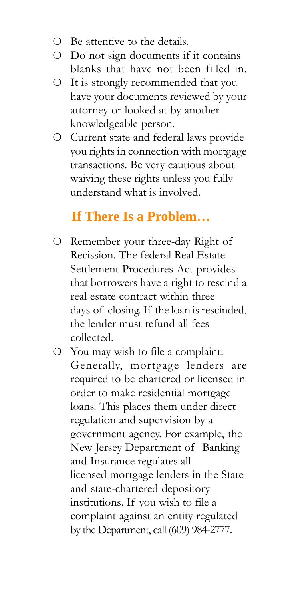- **O** Be attentive to the details.
- O Do not sign documents if it contains blanks that have not been filled in.
- O It is strongly recommended that you have your documents reviewed by your attorney or looked at by another knowledgeable person.
- O Current state and federal laws provide you rights in connection with mortgage transactions. Be very cautious about waiving these rights unless you fully understand what is involved.

### If There Is a Problem...

- O Remember your three-day Right of Recission. The federal Real Estate Settlement Procedures Act provides that borrowers have a right to rescind a real estate contract within three days of closing. If the loan is rescinded, the lender must refund all fees collected.
- O You may wish to file a complaint. Generally, mortgage lenders are required to be chartered or licensed in order to make residential mortgage loans. This places them under direct regulation and supervision by a government agency. For example, the New Jersey Department of Banking and Insurance regulates all licensed mortgage lenders in the State and state-chartered depository institutions. If you wish to file a complaint against an entity regulated by the Department, call (609) 984-2777.